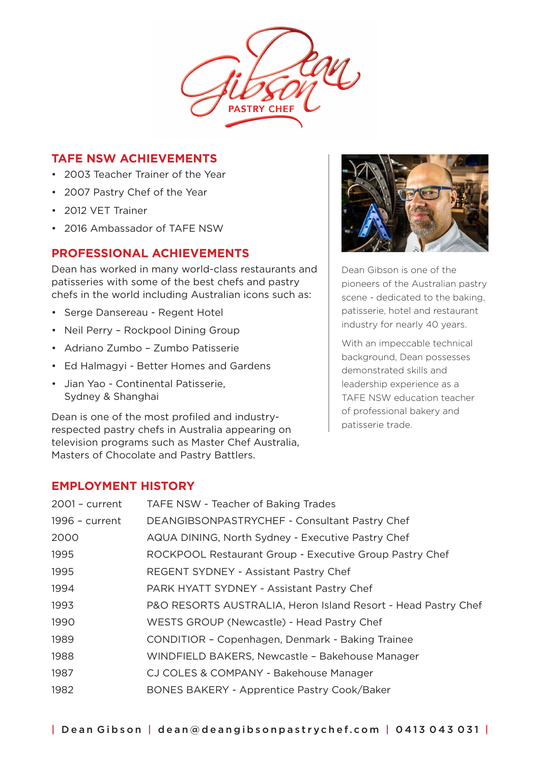

### **TAFE NSW ACHIEVEMENTS**

- 2003 Teacher Trainer of the Year
- 2007 Pastry Chef of the Year
- 2012 VET Trainer
- 2016 Ambassador of TAFE NSW

# **PROFESSIONAL ACHIEVEMENTS**

Dean has worked in many world-class restaurants and patisseries with some of the best chefs and pastry chefs in the world including Australian icons such as:

- Serge Dansereau Regent Hotel
- Neil Perry Rockpool Dining Group
- Adriano Zumbo Zumbo Patisserie
- Ed Halmagyi Better Homes and Gardens
- Jian Yao Continental Patisserie, Sydney & Shanghai

Dean is one of the most profiled and industryrespected pastry chefs in Australia appearing on television programs such as Master Chef Australia, Masters of Chocolate and Pastry Battlers.



Dean Gibson is one of the pioneers of the Australian pastry scene - dedicated to the baking, patisserie, hotel and restaurant industry for nearly 40 years.

With an impeccable technical background, Dean possesses demonstrated skills and leadership experience as a TAFE NSW education teacher of professional bakery and patisserie trade.

### **EMPLOYMENT HISTORY**

| TAFE NSW - Teacher of Baking Trades                           |
|---------------------------------------------------------------|
| DEANGIBSONPASTRYCHEF - Consultant Pastry Chef                 |
| AQUA DINING, North Sydney - Executive Pastry Chef             |
| ROCKPOOL Restaurant Group - Executive Group Pastry Chef       |
| REGENT SYDNEY - Assistant Pastry Chef                         |
| PARK HYATT SYDNEY - Assistant Pastry Chef                     |
| P&O RESORTS AUSTRALIA, Heron Island Resort - Head Pastry Chef |
| WESTS GROUP (Newcastle) - Head Pastry Chef                    |
| CONDITIOR - Copenhagen, Denmark - Baking Trainee              |
| WINDFIELD BAKERS, Newcastle - Bakehouse Manager               |
| CJ COLES & COMPANY - Bakehouse Manager                        |
| BONES BAKERY - Apprentice Pastry Cook/Baker                   |
|                                                               |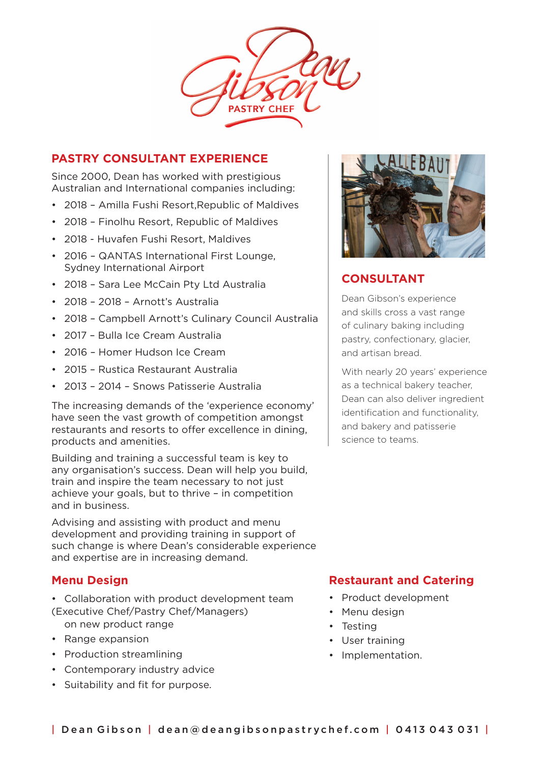

### **PASTRY CONSULTANT EXPERIENCE**

Since 2000, Dean has worked with prestigious Australian and International companies including:

- 2018 Amilla Fushi Resort,Republic of Maldives
- 2018 Finolhu Resort, Republic of Maldives
- 2018 Huvafen Fushi Resort, Maldives
- 2016 QANTAS International First Lounge. Sydney International Airport
- 2018 Sara Lee McCain Pty Ltd Australia
- 2018 2018 Arnott's Australia
- 2018 Campbell Arnott's Culinary Council Australia
- 2017 Bulla Ice Cream Australia
- 2016 Homer Hudson Ice Cream
- 2015 Rustica Restaurant Australia
- 2013 2014 Snows Patisserie Australia

The increasing demands of the 'experience economy' have seen the vast growth of competition amongst restaurants and resorts to offer excellence in dining, products and amenities.

Building and training a successful team is key to any organisation's success. Dean will help you build, train and inspire the team necessary to not just achieve your goals, but to thrive – in competition and in business.

Advising and assisting with product and menu development and providing training in support of such change is where Dean's considerable experience and expertise are in increasing demand.

### **Menu Design**

- Collaboration with product development team (Executive Chef/Pastry Chef/Managers) on new product range
- Range expansion
- Production streamlining
- Contemporary industry advice
- Suitability and fit for purpose.



# **CONSULTANT**

Dean Gibson's experience and skills cross a vast range of culinary baking including pastry, confectionary, glacier, and artisan bread.

With nearly 20 years' experience as a technical bakery teacher, Dean can also deliver ingredient identification and functionality, and bakery and patisserie science to teams.

# **Restaurant and Catering**

- Product development
- Menu design
- Testing
- User training
- Implementation.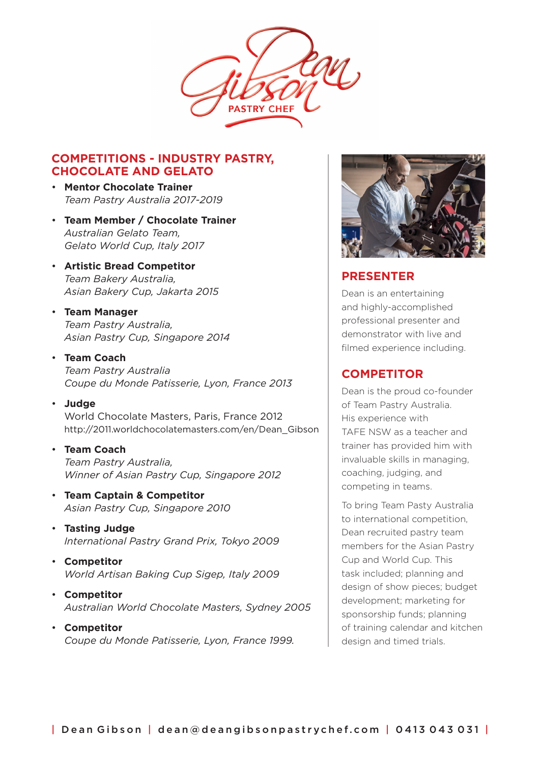

### **COMPETITIONS - INDUSTRY PASTRY, CHOCOLATE AND GELATO**

- **Mentor Chocolate Trainer** *Team Pastry Australia 2017-2019*
- **Team Member / Chocolate Trainer** *Australian Gelato Team, Gelato World Cup, Italy 2017*
- **Artistic Bread Competitor**  *Team Bakery Australia, Asian Bakery Cup, Jakarta 2015*

#### • **Team Manager** *Team Pastry Australia, Asian Pastry Cup, Singapore 2014*

#### • **Team Coach**

*Team Pastry Australia Coupe du Monde Patisserie, Lyon, France 2013*

- **Judge** World Chocolate Masters, Paris, France 2012 http://2011.worldchocolatemasters.com/en/Dean\_Gibson
- **Team Coach** *Team Pastry Australia, Winner of Asian Pastry Cup, Singapore 2012*
- **Team Captain & Competitor** *Asian Pastry Cup, Singapore 2010*
- **Tasting Judge** *International Pastry Grand Prix, Tokyo 2009*
- **Competitor** *World Artisan Baking Cup Sigep, Italy 2009*
- **Competitor** *Australian World Chocolate Masters, Sydney 2005*
- **Competitor** *Coupe du Monde Patisserie, Lyon, France 1999.*



# **PRESENTER**

Dean is an entertaining and highly-accomplished professional presenter and demonstrator with live and filmed experience including.

# **COMPETITOR**

Dean is the proud co-founder of Team Pastry Australia. His experience with TAFE NSW as a teacher and trainer has provided him with invaluable skills in managing, coaching, judging, and competing in teams.

To bring Team Pasty Australia to international competition, Dean recruited pastry team members for the Asian Pastry Cup and World Cup. This task included; planning and design of show pieces; budget development; marketing for sponsorship funds; planning of training calendar and kitchen design and timed trials.